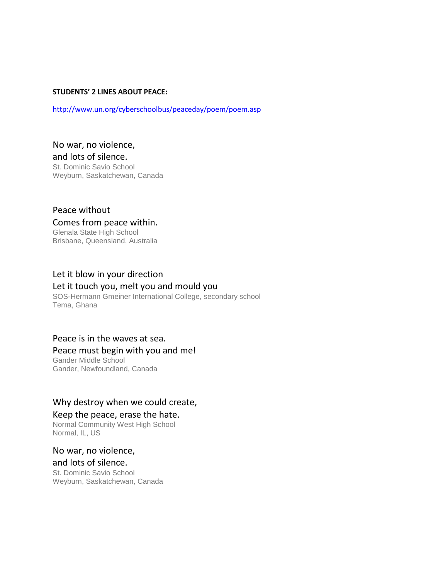#### **STUDENTS' 2 LINES ABOUT PEACE:**

<http://www.un.org/cyberschoolbus/peaceday/poem/poem.asp>

No war, no violence, and lots of silence. St. Dominic Savio School Weyburn, Saskatchewan, Canada

# Peace without Comes from peace within.

Glenala State High School Brisbane, Queensland, Australia

## Let it blow in your direction

#### Let it touch you, melt you and mould you

SOS-Hermann Gmeiner International College, secondary school Tema, Ghana

#### Peace is in the waves at sea.

#### Peace must begin with you and me!

Gander Middle School Gander, Newfoundland, Canada

### Why destroy when we could create,

#### Keep the peace, erase the hate.

Normal Community West High School Normal, IL, US

#### No war, no violence, and lots of silence.

St. Dominic Savio School Weyburn, Saskatchewan, Canada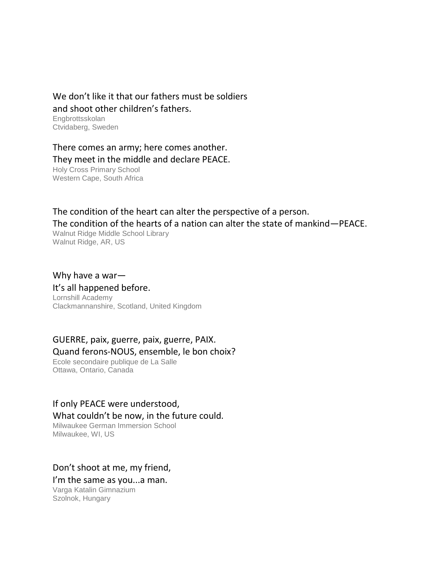#### We don't like it that our fathers must be soldiers and shoot other children's fathers. **Engbrottsskolan**

Ctvidaberg, Sweden

There comes an army; here comes another. They meet in the middle and declare PEACE. Holy Cross Primary School Western Cape, South Africa

The condition of the heart can alter the perspective of a person. The condition of the hearts of a nation can alter the state of mankind—PEACE.

Walnut Ridge Middle School Library Walnut Ridge, AR, US

Why have a war—

## It's all happened before.

Lornshill Academy Clackmannanshire, Scotland, United Kingdom

# GUERRE, paix, guerre, paix, guerre, PAIX. Quand ferons-NOUS, ensemble, le bon choix?

Ecole secondaire publique de La Salle Ottawa, Ontario, Canada

### If only PEACE were understood,

#### What couldn't be now, in the future could.

Milwaukee German Immersion School Milwaukee, WI, US

### Don't shoot at me, my friend,

I'm the same as you...a man.

Varga Katalin Gimnazium Szolnok, Hungary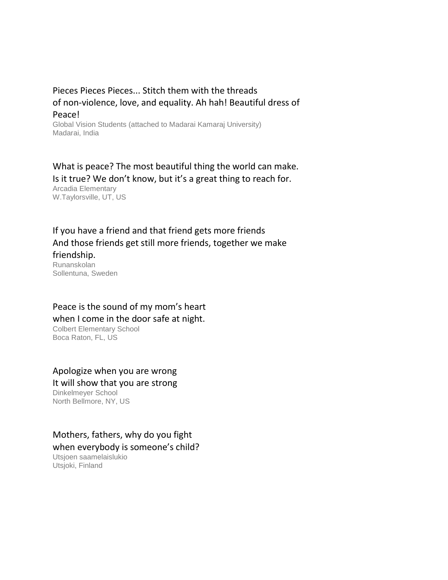## Pieces Pieces Pieces... Stitch them with the threads of non-violence, love, and equality. Ah hah! Beautiful dress of Peace!

Global Vision Students (attached to Madarai Kamaraj University) Madarai, India

What is peace? The most beautiful thing the world can make. Is it true? We don't know, but it's a great thing to reach for. Arcadia Elementary W.Taylorsville, UT, US

If you have a friend and that friend gets more friends And those friends get still more friends, together we make friendship. Runanskolan

Sollentuna, Sweden

## Peace is the sound of my mom's heart when I come in the door safe at night.

Colbert Elementary School Boca Raton, FL, US

### Apologize when you are wrong It will show that you are strong

Dinkelmeyer School North Bellmore, NY, US

# Mothers, fathers, why do you fight

when everybody is someone's child?

Utsjoen saamelaislukio Utsjoki, Finland